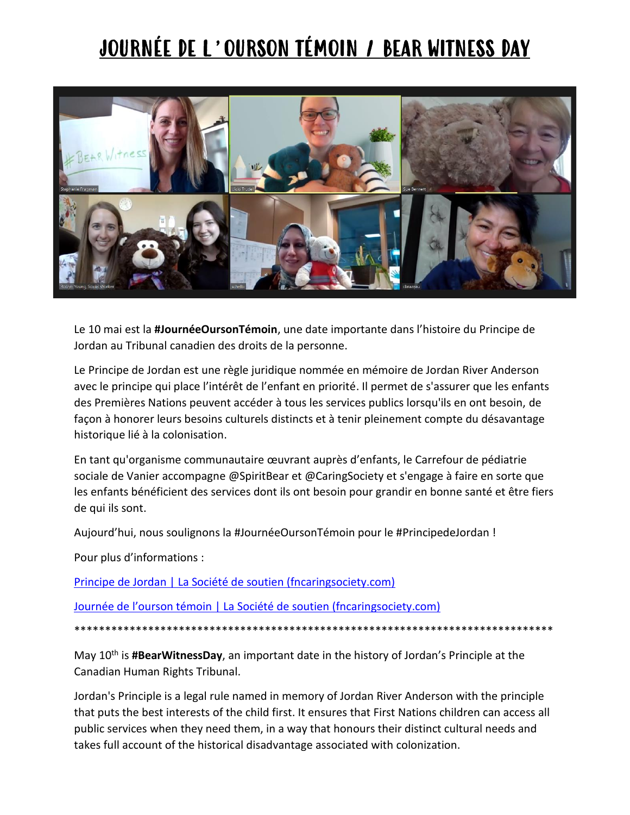## JOURNÉE DE L'OURSON TÉMOIN / BEAR WITNESS DAY



Le 10 mai est la **#JournéeOursonTémoin**, une date importante dans l'histoire du Principe de Jordan au Tribunal canadien des droits de la personne.

Le Principe de Jordan est une règle juridique nommée en mémoire de Jordan River Anderson avec le principe qui place l'intérêt de l'enfant en priorité. Il permet de s'assurer que les enfants des Premières Nations peuvent accéder à tous les services publics lorsqu'ils en ont besoin, de façon à honorer leurs besoins culturels distincts et à tenir pleinement compte du désavantage historique lié à la colonisation.

En tant qu'organisme communautaire œuvrant auprès d'enfants, le Carrefour de pédiatrie sociale de Vanier accompagne @SpiritBear et @CaringSociety et s'engage à faire en sorte que les enfants bénéficient des services dont ils ont besoin pour grandir en bonne santé et être fiers de qui ils sont.

Aujourd'hui, nous soulignons la #JournéeOursonTémoin pour le #PrincipedeJordan !

Pour plus d'informations :

[Principe de Jordan | La Société de soutien \(fncaringsociety.com\)](https://fncaringsociety.com/fr/principe-de-jordan)

[Journée de l'ourson témoin | La Société de soutien \(fncaringsociety.com\)](https://fncaringsociety.com/fr/events/journ%C3%A9e-de-l%E2%80%99ourson-t%C3%A9moin)

\*\*\*\*\*\*\*\*\*\*\*\*\*\*\*\*\*\*\*\*\*\*\*\*\*\*\*\*\*\*\*\*\*\*\*\*\*\*\*\*\*\*\*\*\*\*\*\*\*\*\*\*\*\*\*\*\*\*\*\*\*\*\*\*\*\*\*\*\*\*\*\*\*\*\*\*\*\*

May 10<sup>th</sup> is **#BearWitnessDay**, an important date in the history of Jordan's Principle at the Canadian Human Rights Tribunal.

Jordan's Principle is a legal rule named in memory of Jordan River Anderson with the principle that puts the best interests of the child first. It ensures that First Nations children can access all public services when they need them, in a way that honours their distinct cultural needs and takes full account of the historical disadvantage associated with colonization.